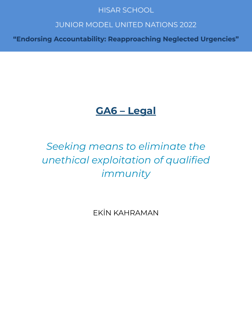## **HISAR SCHOOL**

## **JUNIOR MODEL UNITED NATIONS 2022**

"Endorsing Accountability: Reapproaching Neglected Urgencies"

# **GA6 – Legal**

# *Seeking means to eliminate the unethical exploitation of qualified immunity*

EKİN KAHRAMAN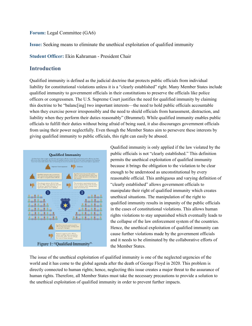**Forum:** Legal Committee (GA6)

**Issue:** Seeking means to eliminate the unethical exploitation of qualified immunity

**Student Officer:** Ekin Kahraman - President Chair

#### **Introduction**

Qualified immunity is defined as the judicial doctrine that protects public officials from individual liability for constitutional violations unless it is a "clearly established" right. Many Member States include qualified immunity to government officials in their constitutions to preserve the officials like police officers or congressmen. The U.S. Supreme Court justifies the need for qualified immunity by claiming this doctrine to be "balanc[ing] two important interests—the need to hold public officials accountable when they exercise power irresponsibly and the need to shield officials from harassment, distraction, and liability when they perform their duties reasonably" (Brummel). While qualified immunity enables public officials to fulfill their duties without being afraid of being sued, it also discourages government officials from using their power neglectfully. Even though the Member States aim to persevere these interests by giving qualified immunity to public officials, this right can easily be abused.



Qualified immunity is only applied if the law violated by the public officials is not "clearly established." This definition permits the unethical exploitation of qualified immunity because it brings the obligation to the violation to be clear enough to be understood as unconstitutional by every reasonable official. This ambiguous and varying definition of "clearly established" allows government officials to manipulate their right of qualified immunity which creates unethical situations. The manipulation of the right to qualified immunity results in impunity of the public officials in the cases of constitutional violations. This allows human rights violations to stay unpunished which eventually leads to the collapse of the law enforcement system of the countries. Hence, the unethical exploitation of qualified immunity can cause further violations made by the government officials and it needs to be eliminated by the collaborative efforts of the Member States.

The issue of the unethical exploitation of qualified immunity is one of the neglected urgencies of the world and it has come to the global agenda after the death of George Floyd in 2020. This problem is directly connected to human rights; hence, neglecting this issue creates a major threat to the assurance of human rights. Therefore, all Member States must take the necessary precautions to provide a solution to the unethical exploitation of qualified immunity in order to prevent further impacts.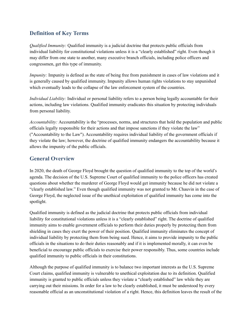## **Definition of Key Terms**

*Qualified Immunity:* Qualified immunity is a judicial doctrine that protects public officials from individual liability for constitutional violations unless it is a "clearly established" right. Even though it may differ from one state to another, many executive branch officials, including police officers and congressmen, get this type of immunity.

*Impunity:* Impunity is defined as the state of being free from punishment in cases of law violations and it is generally caused by qualified immunity. Impunity allows human rights violations to stay unpunished which eventually leads to the collapse of the law enforcement system of the countries.

*Individual Liability:* Individual or personal liability refers to a person being legally accountable for their actions, including law violations. Qualified immunity eradicates this situation by protecting individuals from personal liability.

*Accountability:* Accountability is the "processes, norms, and structures that hold the population and public officials legally responsible for their actions and that impose sanctions if they violate the law" ("Accountability to the Law"). Accountability requires individual liability of the government officials if they violate the law; however, the doctrine of qualified immunity endangers the accountability because it allows the impunity of the public officials.

### **General Overview**

In 2020, the death of George Floyd brought the question of qualified immunity to the top of the world's agenda. The decision of the U.S. Supreme Court of qualified immunity to the police officers has created questions about whether the murderer of George Floyd would get immunity because he did not violate a "clearly established law." Even though qualified immunity was not granted to Mr. Chauvin in the case of George Floyd, the neglected issue of the unethical exploitation of qualified immunity has come into the spotlight.

Qualified immunity is defined as the judicial doctrine that protects public officials from individual liability for constitutional violations unless it is a "clearly established" right. The doctrine of qualified immunity aims to enable government officials to perform their duties properly by protecting them from shielding in cases they exert the power of their position. Qualified immunity eliminates the concept of individual liability by protecting them from being sued. Hence, it aims to provide impunity to the public officials in the situations to do their duties reasonably and if it is implemented morally, it can even be beneficial to encourage public officials to exercise their power responsibly. Thus, some countries include qualified immunity to public officials in their constitutions.

Although the purpose of qualified immunity is to balance two important interests as the U.S. Supreme Court claims, qualified immunity is vulnerable to unethical exploitation due to its definition. Qualified immunity is granted to public officials unless they violate a "clearly established" law while they are carrying out their missions. In order for a law to be clearly established, it must be understood by every reasonable official as an unconstitutional violation of a right. Hence, this definition leaves the result of the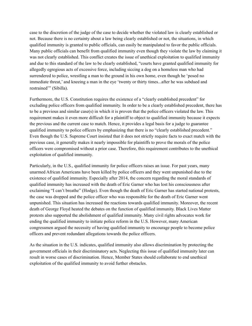case to the discretion of the judge of the case to decide whether the violated law is clearly established or not. Because there is no certainty about a law being clearly established or not, the situations, in which qualified immunity is granted to public officials, can easily be manipulated to favor the public officials. Many public officials can benefit from qualified immunity even though they violate the law by claiming it was not clearly established. This conflict creates the issue of unethical exploitation to qualified immunity and due to this standard of the law to be clearly established, "courts have granted qualified immunity for allegedly egregious acts of excessive force, including siccing a dog on a homeless man who had surrendered to police, wrestling a man to the ground in his own home, even though he 'posed no immediate threat,' and kneeing a man in the eye 'twenty or thirty times...after he was subdued and restrained"" (Sibilla).

Furthermore, the U.S. Constitution requires the existence of a "clearly established precedent" for excluding police officers from qualified immunity. In order to be a clearly established precedent, there has to be a previous and similar case(s) in which it is proven that the police officers violated the law. This requirement makes it even more difficult for a plaintiff to object to qualified immunity because it expects the previous and the current case to match. Hence, it provides a legal basis for a judge to guarantee qualified immunity to police officers by emphasizing that there is no "clearly established precedent." Even though the U.S. Supreme Court insisted that it does not strictly require facts to exact match with the previous case, it generally makes it nearly impossible for plaintiffs to prove the morals of the police officers were compromised without a prior case. Therefore, this requirement contributes to the unethical exploitation of qualified immunity.

Particularly, in the U.S., qualified immunity for police officers raises an issue. For past years, many unarmed African Americans have been killed by police officers and they went unpunished due to the existence of qualified immunity. Especially after 2014, the concern regarding the moral standards of qualified immunity has increased with the death of Eric Garner who has lost his consciousness after exclaiming "I can't breathe" (Hodge). Even though the death of Eric Garner has started national protests, the case was dropped and the police officer who was responsible for the death of Eric Garner went unpunished. This situation has increased the reactions towards qualified immunity. Moreover, the recent death of George Floyd heated the debates on the function of qualified immunity. Black Lives Matter protests also supported the abolishment of qualified immunity. Many civil rights advocates work for ending the qualified immunity to initiate police reform in the U.S. However, many American congressmen argued the necessity of having qualified immunity to encourage people to become police officers and prevent redundant allegations towards the police officers.

As the situation in the U.S. indicates, qualified immunity also allows discrimination by protecting the government officials in their discriminatory acts. Neglecting this issue of qualified immunity later can result in worse cases of discrimination. Hence, Member States should collaborate to end unethical exploitation of the qualified immunity to avoid further obstacles.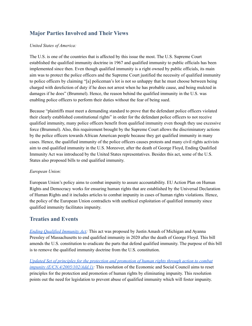## **Major Parties Involved and Their Views**

#### *United States of America:*

The U.S. is one of the countries that is affected by this issue the most. The U.S. Supreme Court established the qualified immunity doctrine in 1967 and qualified immunity to public officials has been implemented since then. Even though qualified immunity is a right owned by public officials, its main aim was to protect the police officers and the Supreme Court justified the necessity of qualified immunity to police officers by claiming "[a] policeman's lot is not so unhappy that he must choose between being charged with dereliction of duty if he does not arrest when he has probable cause, and being mulcted in damages if he does" (Brummel). Hence, the reason behind the qualified immunity in the U.S. was enabling police officers to perform their duties without the fear of being sued.

Because "plaintiffs must meet a demanding standard to prove that the defendant police officers violated their clearly established constitutional rights" in order for the defendant police officers to not receive qualified immunity, many police officers benefit from qualified immunity even though they use excessive force (Brummel). Also, this requirement brought by the Supreme Court allows the discriminatory actions by the police officers towards African American people because they get qualified immunity in many cases. Hence, the qualified immunity of the police officers causes protests and many civil rights activists aim to end qualified immunity in the U.S. Moreover, after the death of George Floyd, Ending Qualified Immunity Act was introduced by the United States representatives. Besides this act, some of the U.S. States also proposed bills to end qualified immunity.

#### *European Union:*

European Union's policy aims to combat impunity to assure accountability. EU Action Plan on Human Rights and Democracy works for ensuring human rights that are established by the Universal Declaration of Human Rights and it includes articles to combat impunity in cases of human rights violations. Hence, the policy of the European Union contradicts with unethical exploitation of qualified immunity since qualified immunity facilitates impunity.

#### **Treaties and Events**

*Ending [Qualified](https://www.markey.senate.gov/imo/media/doc/Ending%20Qualified%20Immunity%20Act.pdf) Immunity Act:* This act was proposed by Justin Amash of Michigan and Ayanna Pressley of Massachusetts to end qualified immunity in 2020 after the death of George Floyd. This bill amends the U.S. constitution to eradicate the parts that defend qualified immunity. The purpose of this bill is to remove the qualified immunity doctrine from the U.S. constitution.

*Updated Set of principles for the protection and [promotion](https://undocs.org/E/CN.4/2005/102/Add.1) of human rights through action to combat impunity [\(E/CN.4/2005/102/Add.1\):](https://undocs.org/E/CN.4/2005/102/Add.1)* This resolution of the Economic and Social Council aims to reset principles for the protection and promotion of human rights by eliminating impunity. This resolution points out the need for legislation to prevent abuse of qualified immunity which will foster impunity.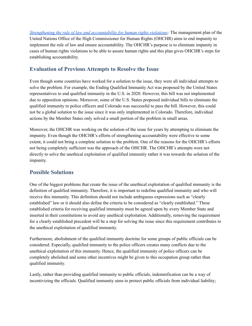*Strengthening the rule of law and [accountability](https://www.ohchr.org/EN/AboutUs/ManagementPlan/Pages/law-accountability.aspx) for human rights violations:* The management plan of the United Nations Office of the High Commissioner for Human Rights (OHCHR) aims to end impunity to implement the rule of law and ensure accountability. The OHCHR's purpose is to eliminate impunity in cases of human rights violations to be able to assure human rights and this plan gives OHCHR's steps for establishing accountability.

### **Evaluation of Previous Attempts to Resolve the Issue**

Even though some countries have worked for a solution to the issue, they were all individual attempts to solve the problem. For example, the Ending Qualified Immunity Act was proposed by the United States representatives to end qualified immunity in the U.S. in 2020. However, this bill was not implemented due to opposition opinions. Moreover, some of the U.S. States proposed individual bills to eliminate the qualified immunity to police officers and Colorado was successful to pass the bill. However, this could not be a global solution to the issue since it was only implemented in Colorado. Therefore, individual actions by the Member States only solved a small portion of the problem in small areas.

Moreover, the OHCHR was working on the solution of the issue for years by attempting to eliminate the impunity. Even though the OHCHR's efforts of strengthening accountability were effective to some extent, it could not bring a complete solution to the problem. One of the reasons for the OHCHR's efforts not being completely sufficient was the approach of the OHCHR. The OHCHR's attempts were not directly to solve the unethical exploitation of qualified immunity rather it was towards the solution of the impunity.

#### **Possible Solutions**

One of the biggest problems that create the issue of the unethical exploitation of qualified immunity is the definition of qualified immunity. Therefore, it is important to redefine qualified immunity and who will receive this immunity. This definition should not include ambiguous expressions such as "clearly established" law or it should also define the criteria to be considered as "clearly established." These established criteria for receiving qualified immunity must be agreed upon by every Member State and inserted in their constitutions to avoid any unethical exploitation. Additionally, removing the requirement for a clearly established precedent will be a step for solving the issue since this requirement contributes to the unethical exploitation of qualified immunity.

Furthermore, abolishment of the qualified immunity doctrine for some groups of public officials can be considered. Especially, qualified immunity to the police officers creates many conflicts due to the unethical exploitation of this immunity. Hence, the qualified immunity of police officers can be completely abolished and some other incentives might be given to this occupation group rather than qualified immunity.

Lastly, rather than providing qualified immunity to public officials, indemnification can be a way of incentivizing the officials. Qualified immunity aims to protect public officials from individual liability;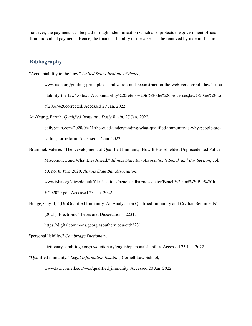however, the payments can be paid through indemnification which also protects the government officials from individual payments. Hence, the financial liability of the cases can be removed by indemnification.

#### **Bibliography**

"Accountability to the Law." *United States Institute of Peace*,

www.usip.org/guiding-principles-stabilization-and-reconstruction-the-web-version/rule-law/accou ntability-the-law#:~:text=Accountability%20refers%20to%20the%20processes,law%20are%20to %20be%20corrected. Accessed 29 Jan. 2022.

Au-Yeung, Farrah. *Qualified Immunity*. *Daily Bruin*, 27 Jan. 2022,

dailybruin.com/2020/06/21/the-quad-understanding-what-qualified-immunity-is-why-people-arecalling-for-reform. Accessed 27 Jan. 2022.

- Brummel, Valerie. "The Development of Qualified Immunity, How It Has Shielded Unprecedented Police Misconduct, and What Lies Ahead." *Illinois State Bar Association's Bench and Bar Section*, vol. 50, no. 8, June 2020. *Illinois State Bar Association*, www.isba.org/sites/default/files/sections/benchandbar/newsletter/Bench%20and%20Bar%20June %202020.pdf. Accessed 23 Jan. 2022.
- Hodge, Guy II, "(Un)Qualified Immunity: An Analysis on Qualified Immunity and Civilian Sentiments" (2021). Electronic Theses and Dissertations. 2231.

https://digitalcommons.georgiasouthern.edu/etd/2231

"personal liability." *Cambridge Dictionary*,

dictionary.cambridge.org/us/dictionary/english/personal-liability. Accessed 23 Jan. 2022.

"Qualified immunity." *Legal Information Institute*, Cornell Law School,

www.law.cornell.edu/wex/qualified\_immunity. Accessed 20 Jan. 2022.